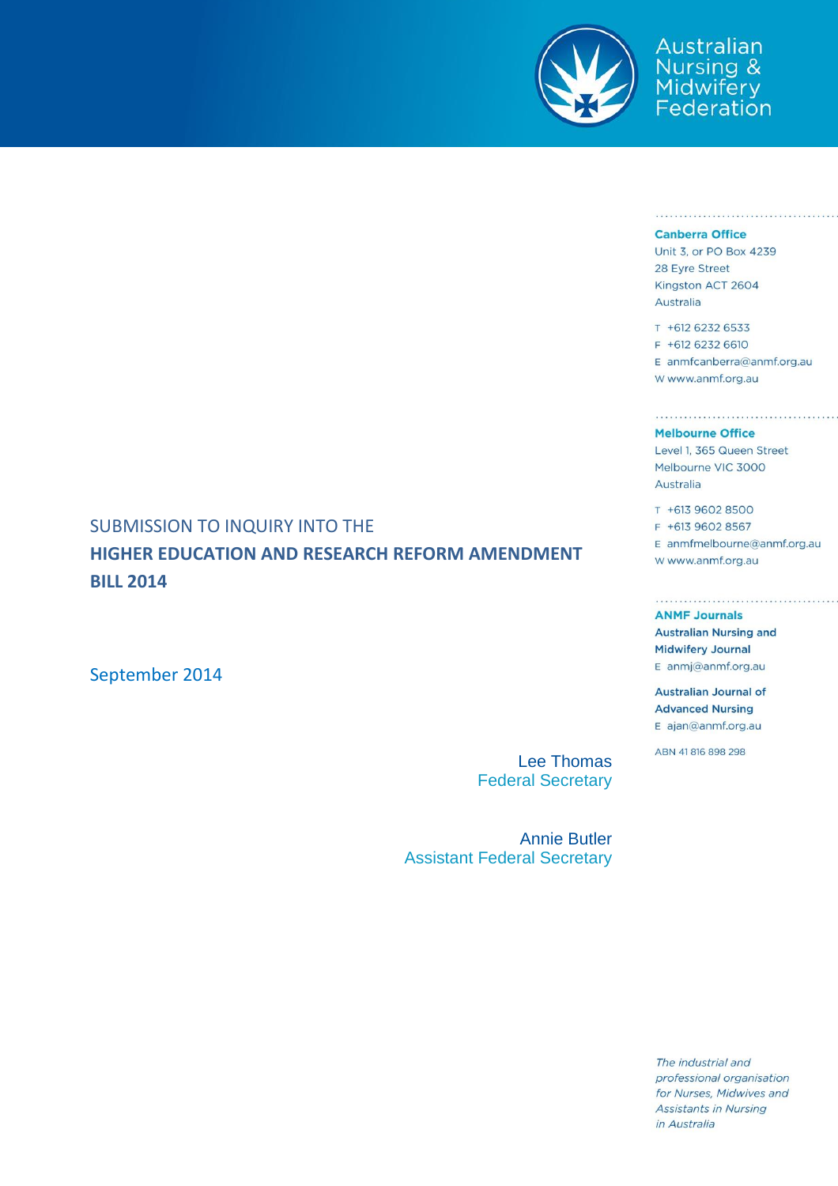

**Australian** Nursing &<br>Midwifery<br>Federation

#### **Canberra Office**

Unit 3, or PO Box 4239 28 Eyre Street Kingston ACT 2604 Australia

T +612 6232 6533 F +612 6232 6610 E anmfcanberra@anmf.org.au w www.anmf.org.au

.<br>The continue of the continue of the continue of the continue of the continue of the continue of the continue o

# **Melbourne Office**

Level 1, 365 Queen Street Melbourne VIC 3000 Australia

T +613 9602 8500 F +613 9602 8567 E anmfmelbourne@anmf.org.au W www.anmf.org.au

#### **ANMF Journals**

**Australian Nursing and Midwifery Journal** E anmj@anmf.org.au

**Australian Journal of Advanced Nursing** E ajan@anmf.org.au

ABN 41816898298

SUBMISSION TO INQUIRY INTO THE **HIGHER EDUCATION AND RESEARCH REFORM AMENDMENT BILL 2014**

September 2014

Lee Thomas Federal Secretary

Annie Butler Assistant Federal Secretary

> The industrial and professional organisation for Nurses, Midwives and **Assistants in Nursing** in Australia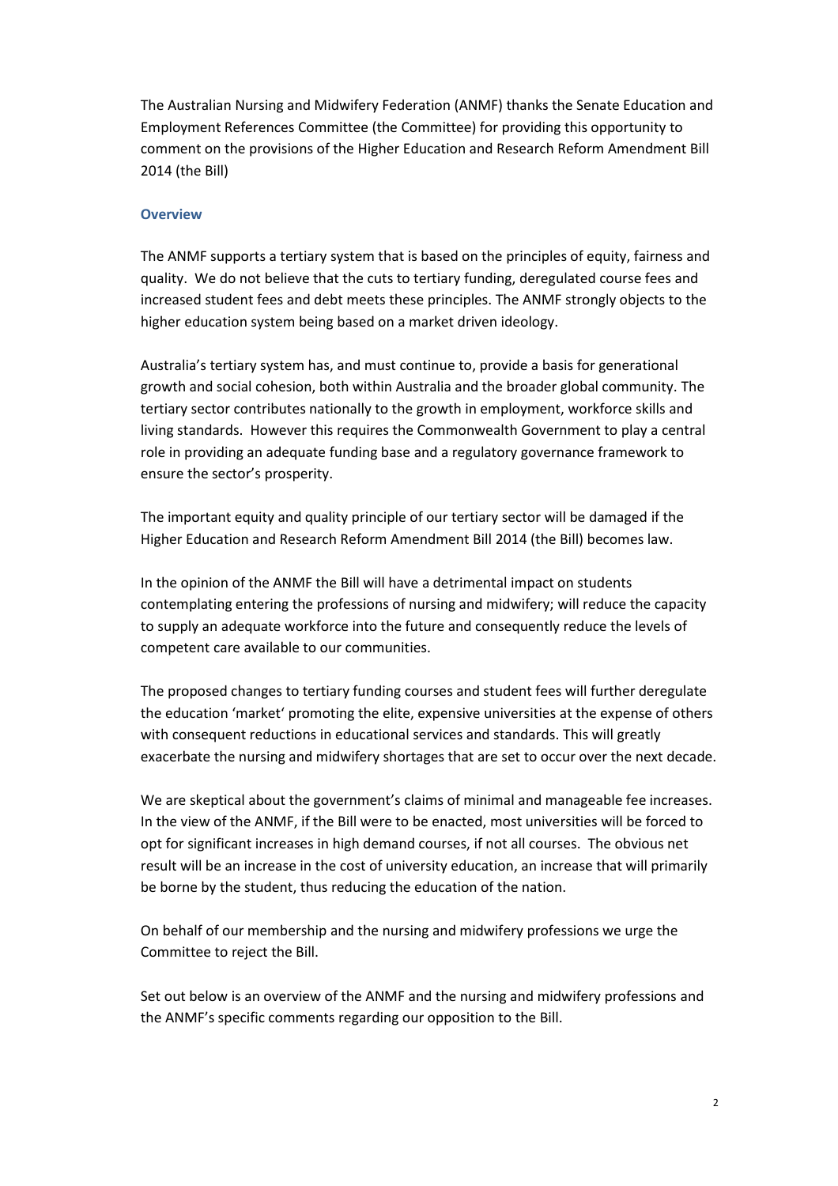The Australian Nursing and Midwifery Federation (ANMF) thanks the Senate Education and Employment References Committee (the Committee) for providing this opportunity to comment on the provisions of the Higher Education and Research Reform Amendment Bill 2014 (the Bill)

# **Overview**

The ANMF supports a tertiary system that is based on the principles of equity, fairness and quality. We do not believe that the cuts to tertiary funding, deregulated course fees and increased student fees and debt meets these principles. The ANMF strongly objects to the higher education system being based on a market driven ideology.

Australia's tertiary system has, and must continue to, provide a basis for generational growth and social cohesion, both within Australia and the broader global community. The tertiary sector contributes nationally to the growth in employment, workforce skills and living standards. However this requires the Commonwealth Government to play a central role in providing an adequate funding base and a regulatory governance framework to ensure the sector's prosperity.

The important equity and quality principle of our tertiary sector will be damaged if the Higher Education and Research Reform Amendment Bill 2014 (the Bill) becomes law.

In the opinion of the ANMF the Bill will have a detrimental impact on students contemplating entering the professions of nursing and midwifery; will reduce the capacity to supply an adequate workforce into the future and consequently reduce the levels of competent care available to our communities.

The proposed changes to tertiary funding courses and student fees will further deregulate the education 'market' promoting the elite, expensive universities at the expense of others with consequent reductions in educational services and standards. This will greatly exacerbate the nursing and midwifery shortages that are set to occur over the next decade.

We are skeptical about the government's claims of minimal and manageable fee increases. In the view of the ANMF, if the Bill were to be enacted, most universities will be forced to opt for significant increases in high demand courses, if not all courses. The obvious net result will be an increase in the cost of university education, an increase that will primarily be borne by the student, thus reducing the education of the nation.

On behalf of our membership and the nursing and midwifery professions we urge the Committee to reject the Bill.

Set out below is an overview of the ANMF and the nursing and midwifery professions and the ANMF's specific comments regarding our opposition to the Bill.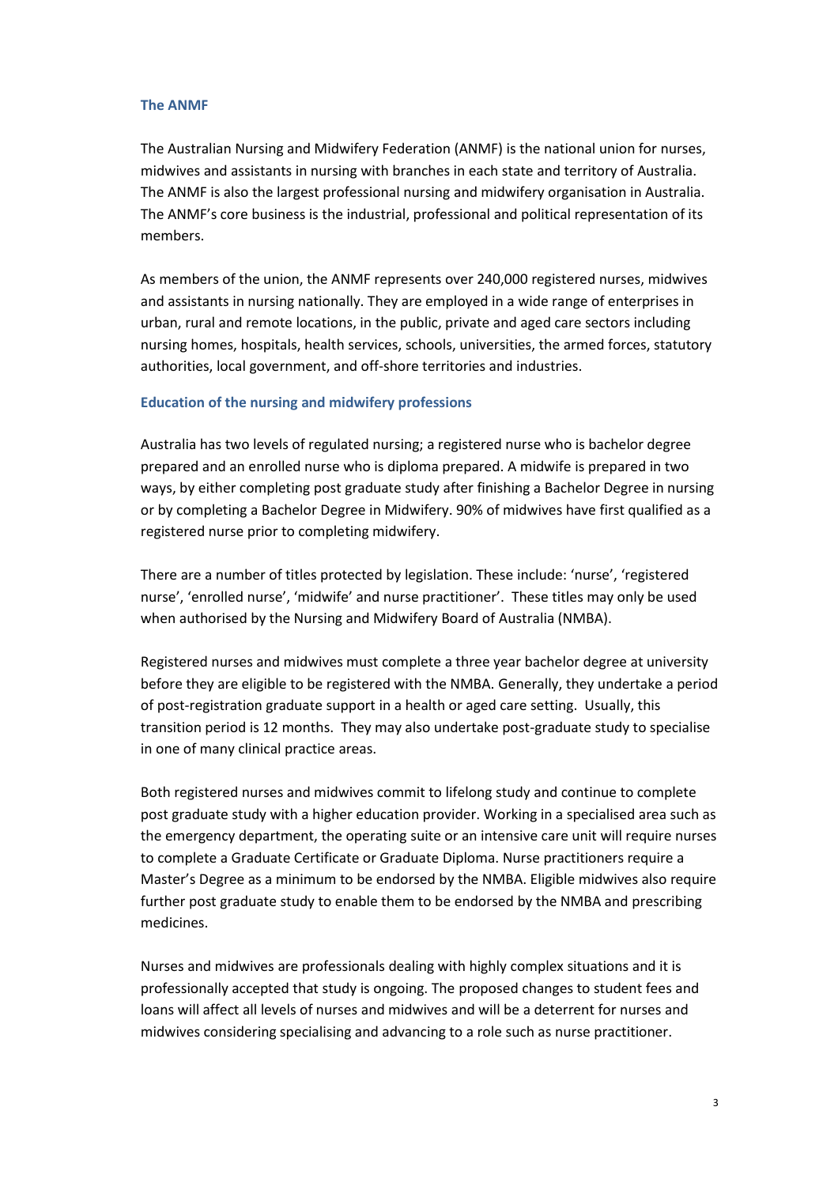### **The ANMF**

The Australian Nursing and Midwifery Federation (ANMF) is the national union for nurses, midwives and assistants in nursing with branches in each state and territory of Australia. The ANMF is also the largest professional nursing and midwifery organisation in Australia. The ANMF's core business is the industrial, professional and political representation of its members.

As members of the union, the ANMF represents over 240,000 registered nurses, midwives and assistants in nursing nationally. They are employed in a wide range of enterprises in urban, rural and remote locations, in the public, private and aged care sectors including nursing homes, hospitals, health services, schools, universities, the armed forces, statutory authorities, local government, and off-shore territories and industries.

# **Education of the nursing and midwifery professions**

Australia has two levels of regulated nursing; a registered nurse who is bachelor degree prepared and an enrolled nurse who is diploma prepared. A midwife is prepared in two ways, by either completing post graduate study after finishing a Bachelor Degree in nursing or by completing a Bachelor Degree in Midwifery. 90% of midwives have first qualified as a registered nurse prior to completing midwifery.

There are a number of titles protected by legislation. These include: 'nurse', 'registered nurse', 'enrolled nurse', 'midwife' and nurse practitioner'. These titles may only be used when authorised by the Nursing and Midwifery Board of Australia (NMBA).

Registered nurses and midwives must complete a three year bachelor degree at university before they are eligible to be registered with the NMBA. Generally, they undertake a period of post-registration graduate support in a health or aged care setting. Usually, this transition period is 12 months. They may also undertake post-graduate study to specialise in one of many clinical practice areas.

Both registered nurses and midwives commit to lifelong study and continue to complete post graduate study with a higher education provider. Working in a specialised area such as the emergency department, the operating suite or an intensive care unit will require nurses to complete a Graduate Certificate or Graduate Diploma. Nurse practitioners require a Master's Degree as a minimum to be endorsed by the NMBA. Eligible midwives also require further post graduate study to enable them to be endorsed by the NMBA and prescribing medicines.

Nurses and midwives are professionals dealing with highly complex situations and it is professionally accepted that study is ongoing. The proposed changes to student fees and loans will affect all levels of nurses and midwives and will be a deterrent for nurses and midwives considering specialising and advancing to a role such as nurse practitioner.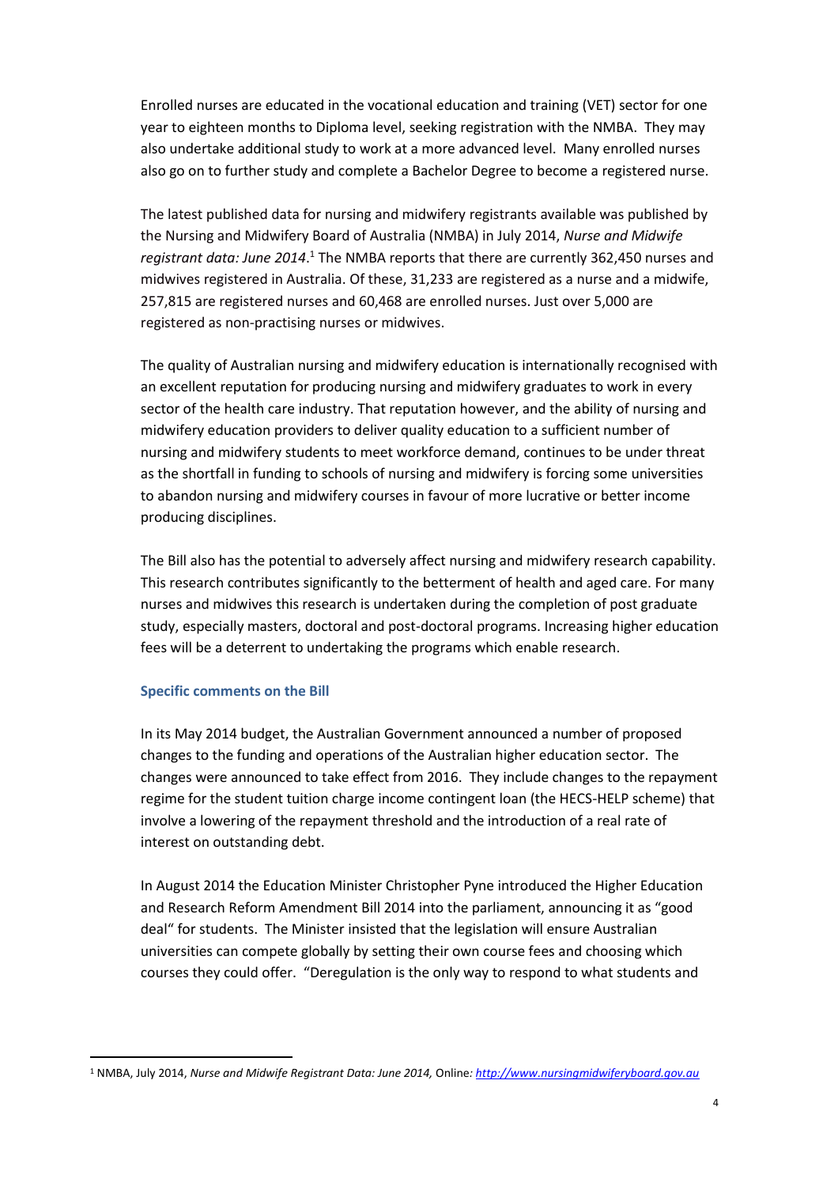Enrolled nurses are educated in the vocational education and training (VET) sector for one year to eighteen months to Diploma level, seeking registration with the NMBA. They may also undertake additional study to work at a more advanced level. Many enrolled nurses also go on to further study and complete a Bachelor Degree to become a registered nurse.

The latest published data for nursing and midwifery registrants available was published by the Nursing and Midwifery Board of Australia (NMBA) in July 2014, *Nurse and Midwife*  registrant data: June 2014.<sup>1</sup> The NMBA reports that there are currently 362,450 nurses and midwives registered in Australia. Of these, 31,233 are registered as a nurse and a midwife, 257,815 are registered nurses and 60,468 are enrolled nurses. Just over 5,000 are registered as non-practising nurses or midwives.

The quality of Australian nursing and midwifery education is internationally recognised with an excellent reputation for producing nursing and midwifery graduates to work in every sector of the health care industry. That reputation however, and the ability of nursing and midwifery education providers to deliver quality education to a sufficient number of nursing and midwifery students to meet workforce demand, continues to be under threat as the shortfall in funding to schools of nursing and midwifery is forcing some universities to abandon nursing and midwifery courses in favour of more lucrative or better income producing disciplines.

The Bill also has the potential to adversely affect nursing and midwifery research capability. This research contributes significantly to the betterment of health and aged care. For many nurses and midwives this research is undertaken during the completion of post graduate study, especially masters, doctoral and post-doctoral programs. Increasing higher education fees will be a deterrent to undertaking the programs which enable research.

# **Specific comments on the Bill**

 $\overline{a}$ 

In its May 2014 budget, the Australian Government announced a number of proposed changes to the funding and operations of the Australian higher education sector. The changes were announced to take effect from 2016. They include changes to the repayment regime for the student tuition charge income contingent loan (the HECS-HELP scheme) that involve a lowering of the repayment threshold and the introduction of a real rate of interest on outstanding debt.

In August 2014 the Education Minister Christopher Pyne introduced the Higher Education and Research Reform Amendment Bill 2014 into the parliament, announcing it as "good deal" for students. The Minister insisted that the legislation will ensure Australian universities can compete globally by setting their own course fees and choosing which courses they could offer. "Deregulation is the only way to respond to what students and

<sup>1</sup> NMBA, July 2014, *Nurse and Midwife Registrant Data: June 2014,* Online*: [http://www.nursingmidwiferyboard.gov.au](http://www.nursingmidwiferyboard.gov.au/)*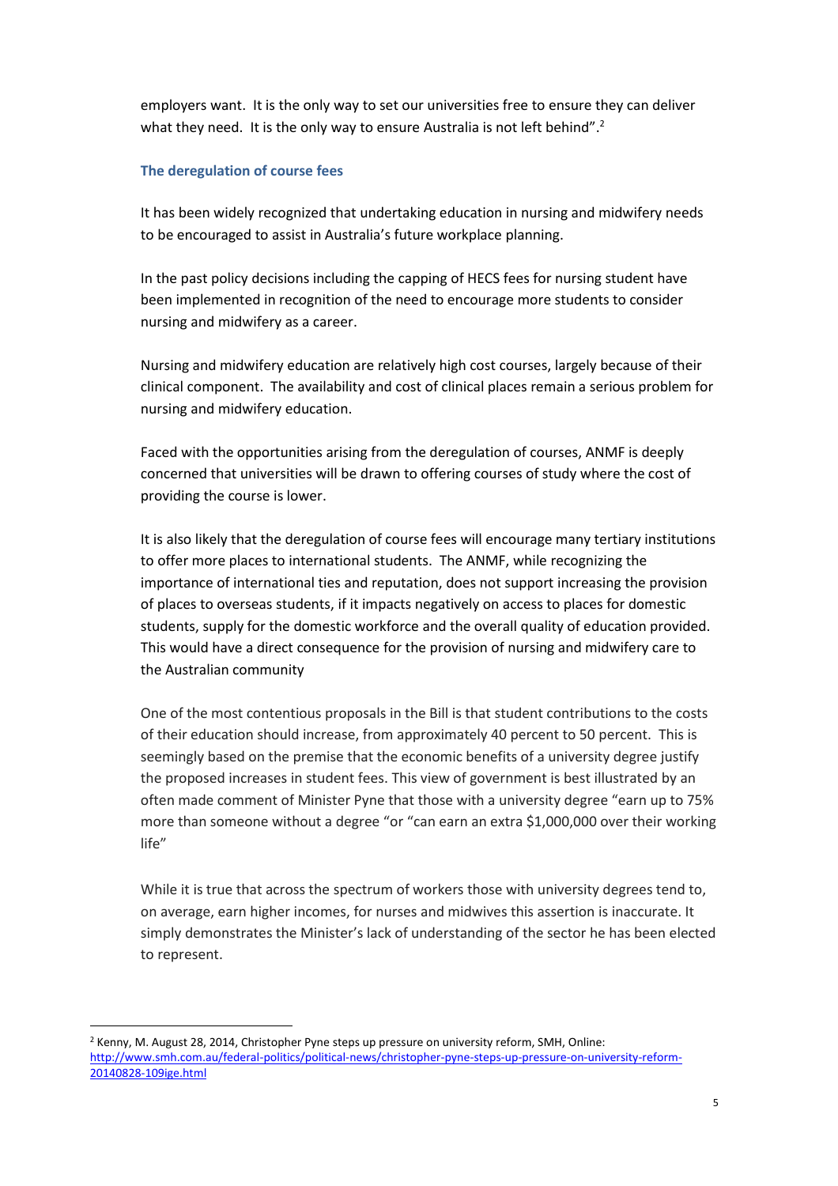employers want. It is the only way to set our universities free to ensure they can deliver what they need. It is the only way to ensure Australia is not left behind".<sup>2</sup>

# **The deregulation of course fees**

It has been widely recognized that undertaking education in nursing and midwifery needs to be encouraged to assist in Australia's future workplace planning.

In the past policy decisions including the capping of HECS fees for nursing student have been implemented in recognition of the need to encourage more students to consider nursing and midwifery as a career.

Nursing and midwifery education are relatively high cost courses, largely because of their clinical component. The availability and cost of clinical places remain a serious problem for nursing and midwifery education.

Faced with the opportunities arising from the deregulation of courses, ANMF is deeply concerned that universities will be drawn to offering courses of study where the cost of providing the course is lower.

It is also likely that the deregulation of course fees will encourage many tertiary institutions to offer more places to international students. The ANMF, while recognizing the importance of international ties and reputation, does not support increasing the provision of places to overseas students, if it impacts negatively on access to places for domestic students, supply for the domestic workforce and the overall quality of education provided. This would have a direct consequence for the provision of nursing and midwifery care to the Australian community

One of the most contentious proposals in the Bill is that student contributions to the costs of their education should increase, from approximately 40 percent to 50 percent. This is seemingly based on the premise that the economic benefits of a university degree justify the proposed increases in student fees. This view of government is best illustrated by an often made comment of Minister Pyne that those with a university degree "earn up to 75% more than someone without a degree "or "can earn an extra \$1,000,000 over their working life"

While it is true that across the spectrum of workers those with university degrees tend to, on average, earn higher incomes, for nurses and midwives this assertion is inaccurate. It simply demonstrates the Minister's lack of understanding of the sector he has been elected to represent.

 $\overline{a}$ 

<sup>2</sup> Kenny, M. August 28, 2014, Christopher Pyne steps up pressure on university reform, SMH, Online: [http://www.smh.com.au/federal-politics/political-news/christopher-pyne-steps-up-pressure-on-university-reform-](http://www.smh.com.au/federal-politics/political-news/christopher-pyne-steps-up-pressure-on-university-reform-20140828-109ige.html)[20140828-109ige.html](http://www.smh.com.au/federal-politics/political-news/christopher-pyne-steps-up-pressure-on-university-reform-20140828-109ige.html)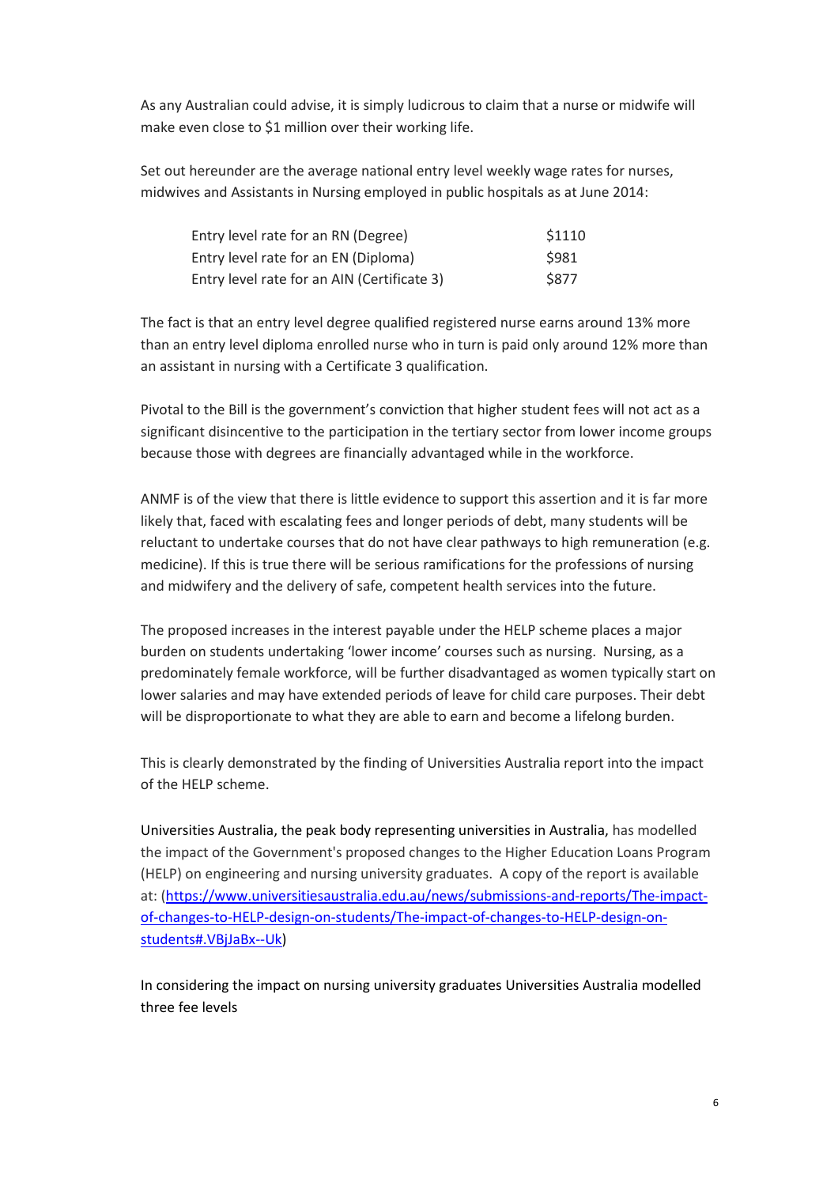As any Australian could advise, it is simply ludicrous to claim that a nurse or midwife will make even close to \$1 million over their working life.

Set out hereunder are the average national entry level weekly wage rates for nurses, midwives and Assistants in Nursing employed in public hospitals as at June 2014:

| Entry level rate for an RN (Degree)         | \$1110      |
|---------------------------------------------|-------------|
| Entry level rate for an EN (Diploma)        | <b>S981</b> |
| Entry level rate for an AIN (Certificate 3) | <b>S877</b> |

The fact is that an entry level degree qualified registered nurse earns around 13% more than an entry level diploma enrolled nurse who in turn is paid only around 12% more than an assistant in nursing with a Certificate 3 qualification.

Pivotal to the Bill is the government's conviction that higher student fees will not act as a significant disincentive to the participation in the tertiary sector from lower income groups because those with degrees are financially advantaged while in the workforce.

ANMF is of the view that there is little evidence to support this assertion and it is far more likely that, faced with escalating fees and longer periods of debt, many students will be reluctant to undertake courses that do not have clear pathways to high remuneration (e.g. medicine). If this is true there will be serious ramifications for the professions of nursing and midwifery and the delivery of safe, competent health services into the future.

The proposed increases in the interest payable under the HELP scheme places a major burden on students undertaking 'lower income' courses such as nursing. Nursing, as a predominately female workforce, will be further disadvantaged as women typically start on lower salaries and may have extended periods of leave for child care purposes. Their debt will be disproportionate to what they are able to earn and become a lifelong burden.

This is clearly demonstrated by the finding of Universities Australia report into the impact of the HELP scheme.

Universities Australia, the peak body representing universities in Australia, has modelled the impact of the Government's proposed changes to the Higher Education Loans Program (HELP) on engineering and nursing university graduates. A copy of the report is available at: [\(https://www.universitiesaustralia.edu.au/news/submissions-and-reports/The-impact](https://www.universitiesaustralia.edu.au/news/submissions-and-reports/The-impact-of-changes-to-HELP-design-on-students/The-impact-of-changes-to-HELP-design-on-students#.VBjJaBx--Uk)[of-changes-to-HELP-design-on-students/The-impact-of-changes-to-HELP-design-on](https://www.universitiesaustralia.edu.au/news/submissions-and-reports/The-impact-of-changes-to-HELP-design-on-students/The-impact-of-changes-to-HELP-design-on-students#.VBjJaBx--Uk)[students#.VBjJaBx--Uk\)](https://www.universitiesaustralia.edu.au/news/submissions-and-reports/The-impact-of-changes-to-HELP-design-on-students/The-impact-of-changes-to-HELP-design-on-students#.VBjJaBx--Uk)

In considering the impact on nursing university graduates Universities Australia modelled three fee levels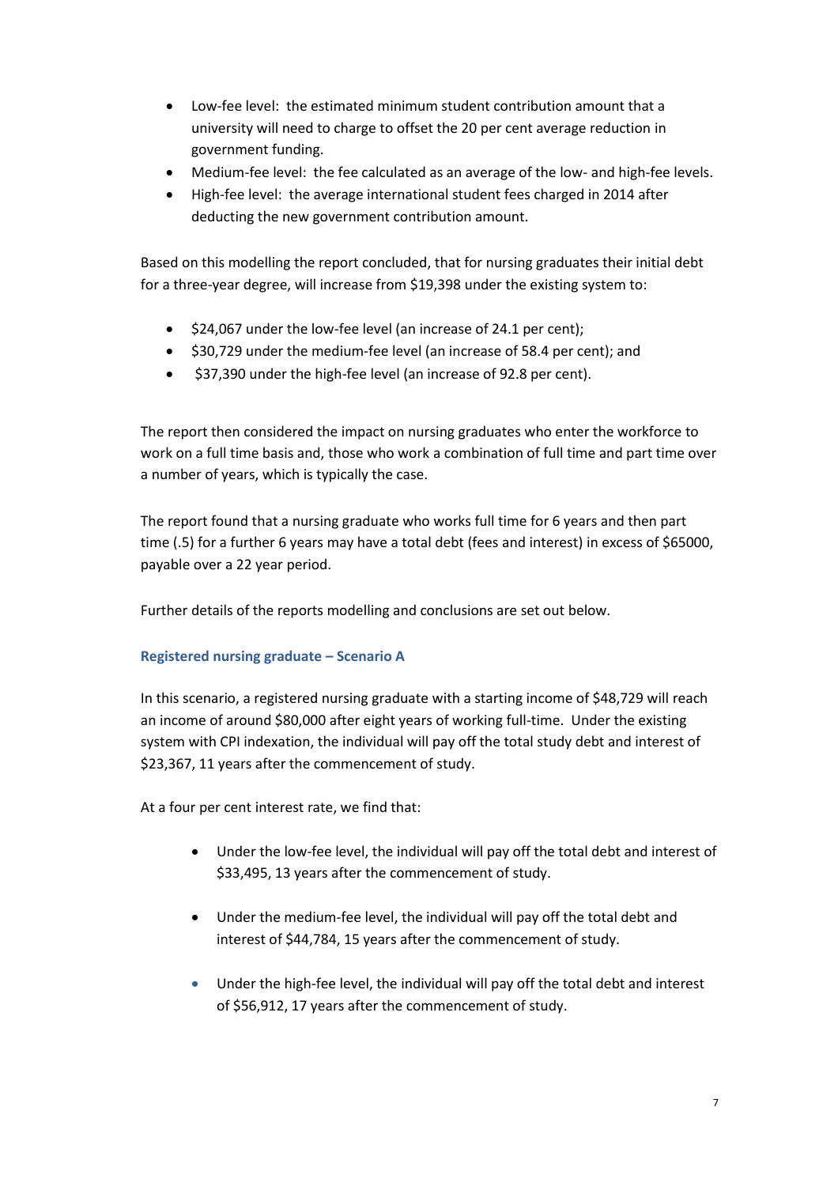- Low-fee level: the estimated minimum student contribution amount that a university will need to charge to offset the 20 per cent average reduction in government funding.
- Medium-fee level: the fee calculated as an average of the low- and high-fee levels.
- High-fee level: the average international student fees charged in 2014 after deducting the new government contribution amount.

Based on this modelling the report concluded, that for nursing graduates their initial debt for a three-year degree, will increase from \$19,398 under the existing system to:

- $\bullet$  \$24,067 under the low-fee level (an increase of 24.1 per cent);
- \$30,729 under the medium-fee level (an increase of 58.4 per cent); and
- \$37,390 under the high-fee level (an increase of 92.8 per cent).

The report then considered the impact on nursing graduates who enter the workforce to work on a full time basis and, those who work a combination of full time and part time over a number of years, which is typically the case.

The report found that a nursing graduate who works full time for 6 years and then part time (.5) for a further 6 years may have a total debt (fees and interest) in excess of \$65000, payable over a 22 year period.

Further details of the reports modelling and conclusions are set out below.

# **Registered nursing graduate – Scenario A**

In this scenario, a registered nursing graduate with a starting income of \$48,729 will reach an income of around \$80,000 after eight years of working full-time. Under the existing system with CPI indexation, the individual will pay off the total study debt and interest of \$23,367, 11 years after the commencement of study.

At a four per cent interest rate, we find that:

- Under the low-fee level, the individual will pay off the total debt and interest of \$33,495, 13 years after the commencement of study.
- Under the medium-fee level, the individual will pay off the total debt and interest of \$44,784, 15 years after the commencement of study.
- Under the high-fee level, the individual will pay off the total debt and interest of \$56,912, 17 years after the commencement of study.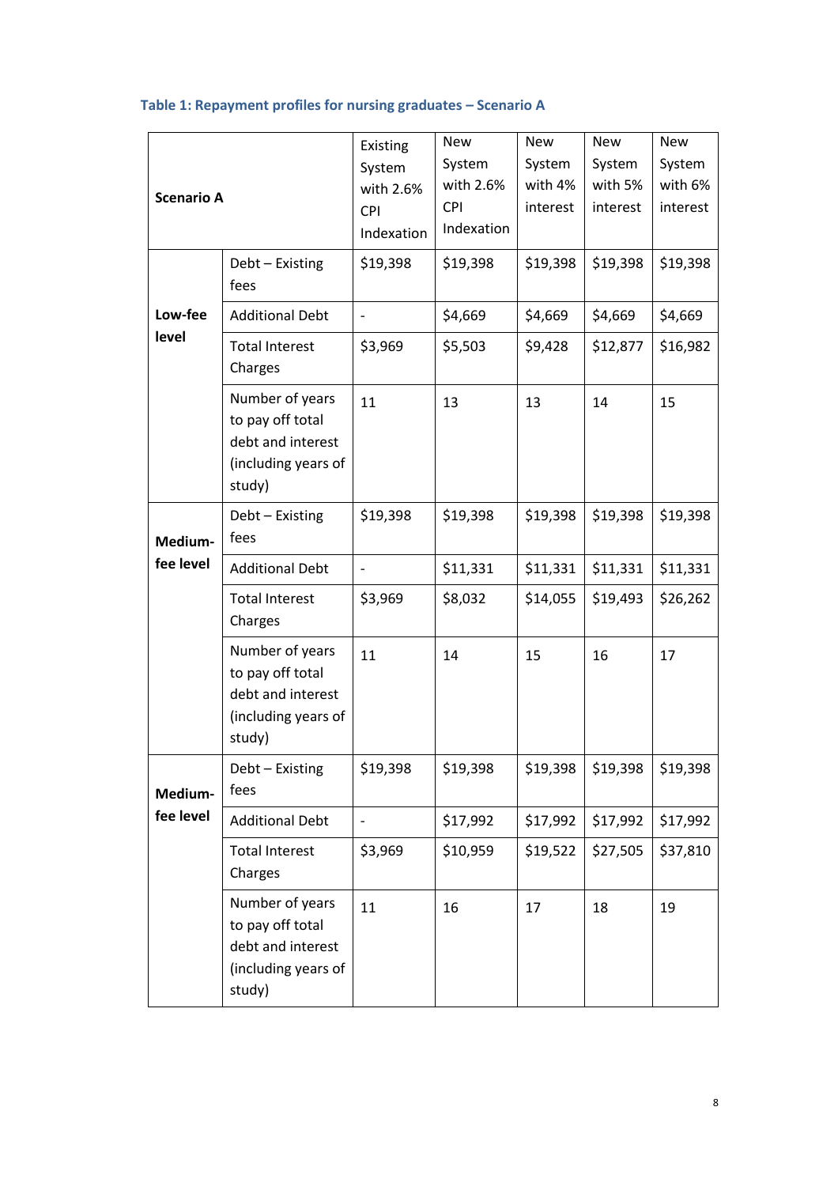# **Table 1: Repayment profiles for nursing graduates – Scenario A**

| <b>Scenario A</b>    |                                                                                           | Existing<br>System<br>with 2.6%<br><b>CPI</b><br>Indexation | <b>New</b><br>System<br>with 2.6%<br><b>CPI</b><br>Indexation | <b>New</b><br>System<br>with 4%<br>interest | <b>New</b><br>System<br>with 5%<br>interest | <b>New</b><br>System<br>with 6%<br>interest |
|----------------------|-------------------------------------------------------------------------------------------|-------------------------------------------------------------|---------------------------------------------------------------|---------------------------------------------|---------------------------------------------|---------------------------------------------|
| Low-fee<br>level     | Debt - Existing<br>fees                                                                   | \$19,398                                                    | \$19,398                                                      | \$19,398                                    | \$19,398                                    | \$19,398                                    |
|                      | <b>Additional Debt</b>                                                                    | $\overline{\phantom{a}}$                                    | \$4,669                                                       | \$4,669                                     | \$4,669                                     | \$4,669                                     |
|                      | <b>Total Interest</b><br>Charges                                                          | \$3,969                                                     | \$5,503                                                       | \$9,428                                     | \$12,877                                    | \$16,982                                    |
|                      | Number of years<br>to pay off total<br>debt and interest<br>(including years of<br>study) | 11                                                          | 13                                                            | 13                                          | 14                                          | 15                                          |
| Medium-<br>fee level | Debt - Existing<br>fees                                                                   | \$19,398                                                    | \$19,398                                                      | \$19,398                                    | \$19,398                                    | \$19,398                                    |
|                      | <b>Additional Debt</b>                                                                    | $\overline{\phantom{0}}$                                    | \$11,331                                                      | \$11,331                                    | \$11,331                                    | \$11,331                                    |
|                      | <b>Total Interest</b><br>Charges                                                          | \$3,969                                                     | \$8,032                                                       | \$14,055                                    | \$19,493                                    | \$26,262                                    |
|                      | Number of years<br>to pay off total<br>debt and interest<br>(including years of<br>study) | 11                                                          | 14                                                            | 15                                          | 16                                          | 17                                          |
| Medium-<br>fee level | Debt - Existing<br>fees                                                                   | \$19,398                                                    | \$19,398                                                      | \$19,398                                    | \$19,398                                    | \$19,398                                    |
|                      | <b>Additional Debt</b>                                                                    | -                                                           | \$17,992                                                      | \$17,992                                    | \$17,992                                    | \$17,992                                    |
|                      | <b>Total Interest</b><br>Charges                                                          | \$3,969                                                     | \$10,959                                                      | \$19,522                                    | \$27,505                                    | \$37,810                                    |
|                      | Number of years<br>to pay off total<br>debt and interest<br>(including years of<br>study) | 11                                                          | 16                                                            | 17                                          | 18                                          | 19                                          |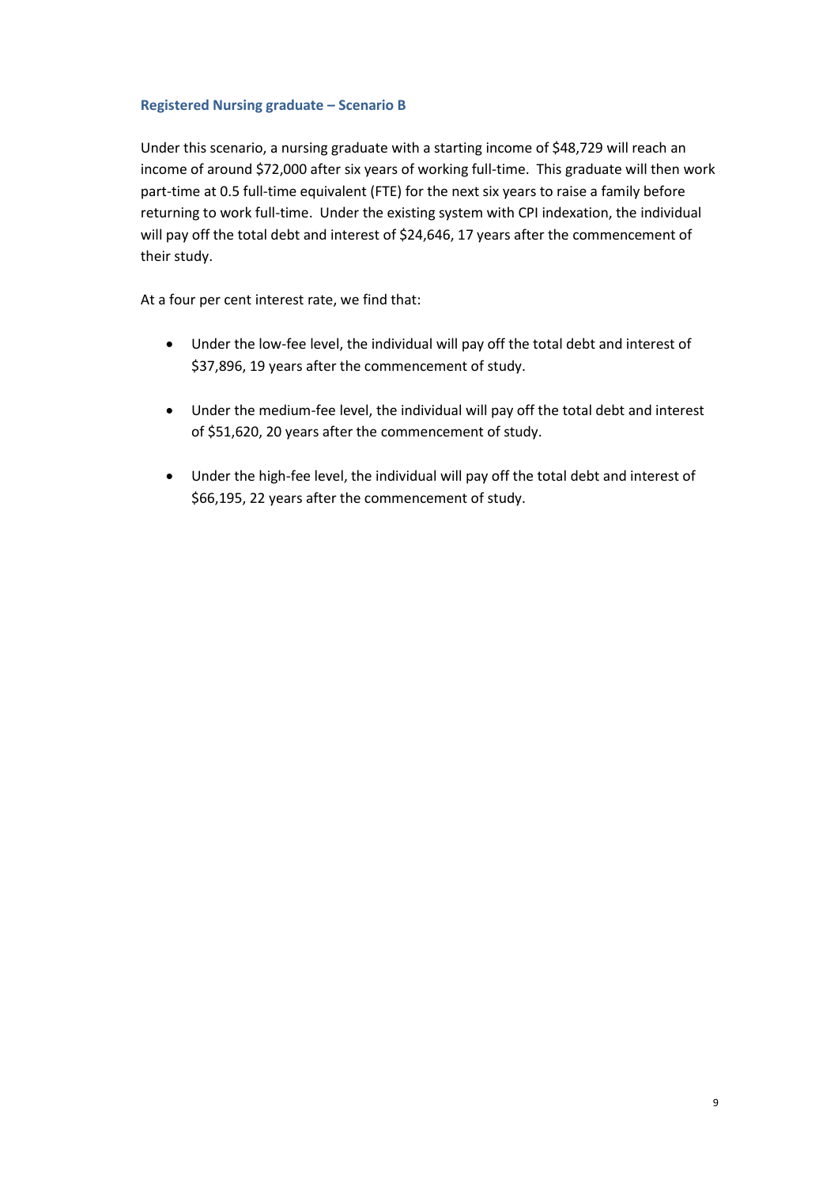## **Registered Nursing graduate – Scenario B**

Under this scenario, a nursing graduate with a starting income of \$48,729 will reach an income of around \$72,000 after six years of working full-time. This graduate will then work part-time at 0.5 full-time equivalent (FTE) for the next six years to raise a family before returning to work full-time. Under the existing system with CPI indexation, the individual will pay off the total debt and interest of \$24,646, 17 years after the commencement of their study.

At a four per cent interest rate, we find that:

- Under the low-fee level, the individual will pay off the total debt and interest of \$37,896, 19 years after the commencement of study.
- Under the medium-fee level, the individual will pay off the total debt and interest of \$51,620, 20 years after the commencement of study.
- Under the high-fee level, the individual will pay off the total debt and interest of \$66,195, 22 years after the commencement of study.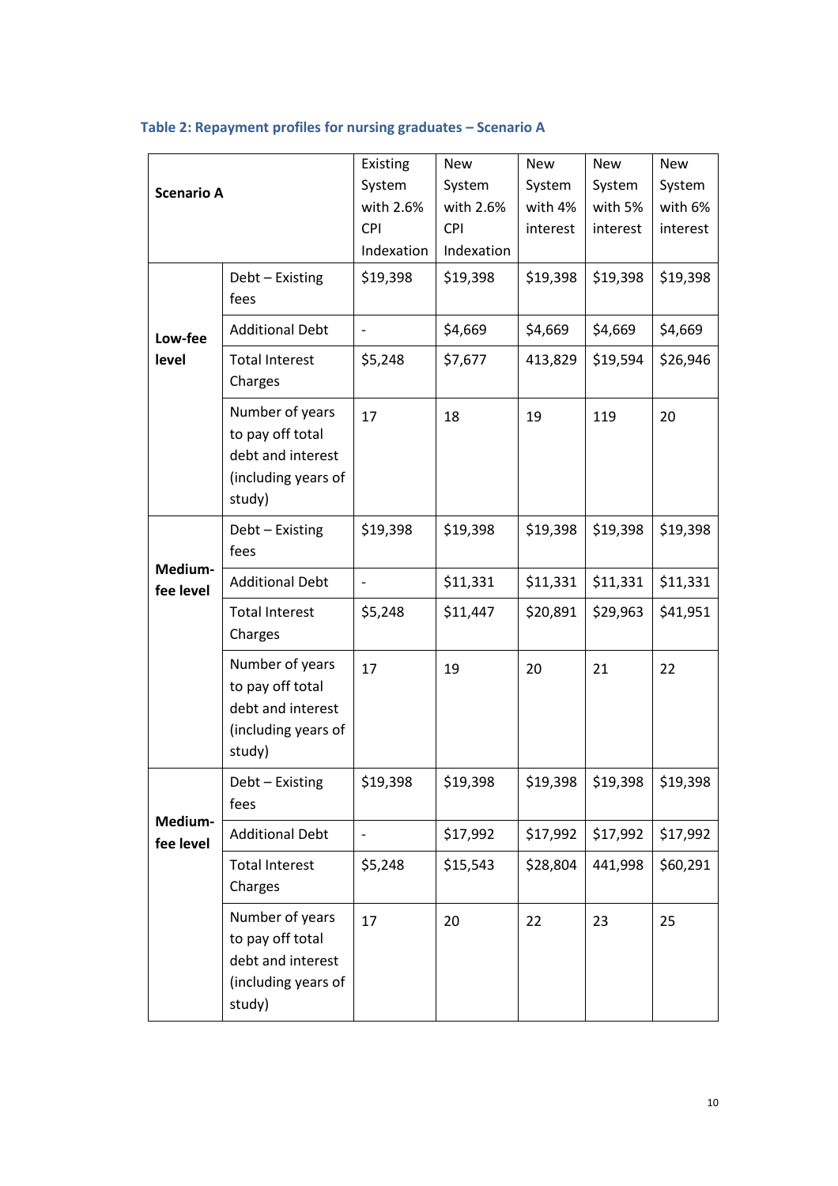| <b>Scenario A</b>    |                                                                                           | Existing<br>System<br>with 2.6% | <b>New</b><br>System<br>with 2.6% | <b>New</b><br>System<br>with 4% | <b>New</b><br>System<br>with 5% | <b>New</b><br>System<br>with 6% |
|----------------------|-------------------------------------------------------------------------------------------|---------------------------------|-----------------------------------|---------------------------------|---------------------------------|---------------------------------|
|                      |                                                                                           | <b>CPI</b><br>Indexation        | <b>CPI</b><br>Indexation          | interest                        | interest                        | interest                        |
|                      | Debt - Existing<br>fees                                                                   | \$19,398                        | \$19,398                          | \$19,398                        | \$19,398                        | \$19,398                        |
| Low-fee              | <b>Additional Debt</b>                                                                    |                                 | \$4,669                           | \$4,669                         | \$4,669                         | \$4,669                         |
| level                | <b>Total Interest</b><br>Charges                                                          | \$5,248                         | \$7,677                           | 413,829                         | \$19,594                        | \$26,946                        |
|                      | Number of years<br>to pay off total<br>debt and interest<br>(including years of<br>study) | 17                              | 18                                | 19                              | 119                             | 20                              |
|                      | Debt - Existing<br>fees                                                                   | \$19,398                        | \$19,398                          | \$19,398                        | \$19,398                        | \$19,398                        |
| Medium-<br>fee level | <b>Additional Debt</b>                                                                    | $\overline{\phantom{a}}$        | \$11,331                          | \$11,331                        | \$11,331                        | \$11,331                        |
|                      | <b>Total Interest</b><br>Charges                                                          | \$5,248                         | \$11,447                          | \$20,891                        | \$29,963                        | \$41,951                        |
|                      | Number of years<br>to pay off total<br>debt and interest<br>(including years of<br>study) | 17                              | 19                                | 20                              | 21                              | 22                              |
| Medium-<br>fee level | Debt - Existing<br>fees                                                                   | \$19,398                        | \$19,398                          | \$19,398                        | \$19,398                        | \$19,398                        |
|                      | <b>Additional Debt</b>                                                                    |                                 | \$17,992                          | \$17,992                        | \$17,992                        | \$17,992                        |
|                      | <b>Total Interest</b><br>Charges                                                          | \$5,248                         | \$15,543                          | \$28,804                        | 441,998                         | \$60,291                        |
|                      | Number of years<br>to pay off total<br>debt and interest<br>(including years of<br>study) | 17                              | 20                                | 22                              | 23                              | 25                              |

# **Table 2: Repayment profiles for nursing graduates – Scenario A**